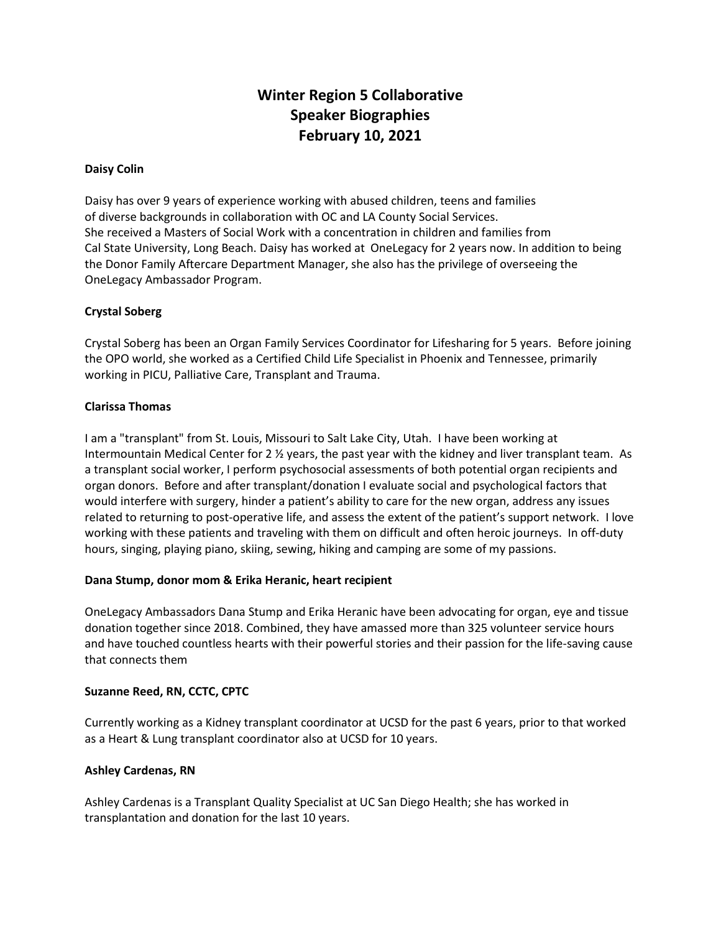# **Winter Region 5 Collaborative Speaker Biographies February 10, 2021**

## **Daisy Colin**

Daisy has over 9 years of experience working with abused children, teens and families of diverse backgrounds in collaboration with OC and LA County Social Services. She received a Masters of Social Work with a concentration in children and families from Cal State University, Long Beach. Daisy has worked at OneLegacy for 2 years now. In addition to being the Donor Family Aftercare Department Manager, she also has the privilege of overseeing the OneLegacy Ambassador Program.

## **Crystal Soberg**

Crystal Soberg has been an Organ Family Services Coordinator for Lifesharing for 5 years. Before joining the OPO world, she worked as a Certified Child Life Specialist in Phoenix and Tennessee, primarily working in PICU, Palliative Care, Transplant and Trauma.

## **Clarissa Thomas**

I am a "transplant" from St. Louis, Missouri to Salt Lake City, Utah. I have been working at Intermountain Medical Center for 2 ½ years, the past year with the kidney and liver transplant team. As a transplant social worker, I perform psychosocial assessments of both potential organ recipients and organ donors. Before and after transplant/donation I evaluate social and psychological factors that would interfere with surgery, hinder a patient's ability to care for the new organ, address any issues related to returning to post-operative life, and assess the extent of the patient's support network. I love working with these patients and traveling with them on difficult and often heroic journeys. In off-duty hours, singing, playing piano, skiing, sewing, hiking and camping are some of my passions.

# **Dana Stump, donor mom & Erika Heranic, heart recipient**

OneLegacy Ambassadors Dana Stump and Erika Heranic have been advocating for organ, eye and tissue donation together since 2018. Combined, they have amassed more than 325 volunteer service hours and have touched countless hearts with their powerful stories and their passion for the life-saving cause that connects them

#### **Suzanne Reed, RN, CCTC, CPTC**

Currently working as a Kidney transplant coordinator at UCSD for the past 6 years, prior to that worked as a Heart & Lung transplant coordinator also at UCSD for 10 years.

#### **Ashley Cardenas, RN**

Ashley Cardenas is a Transplant Quality Specialist at UC San Diego Health; she has worked in transplantation and donation for the last 10 years.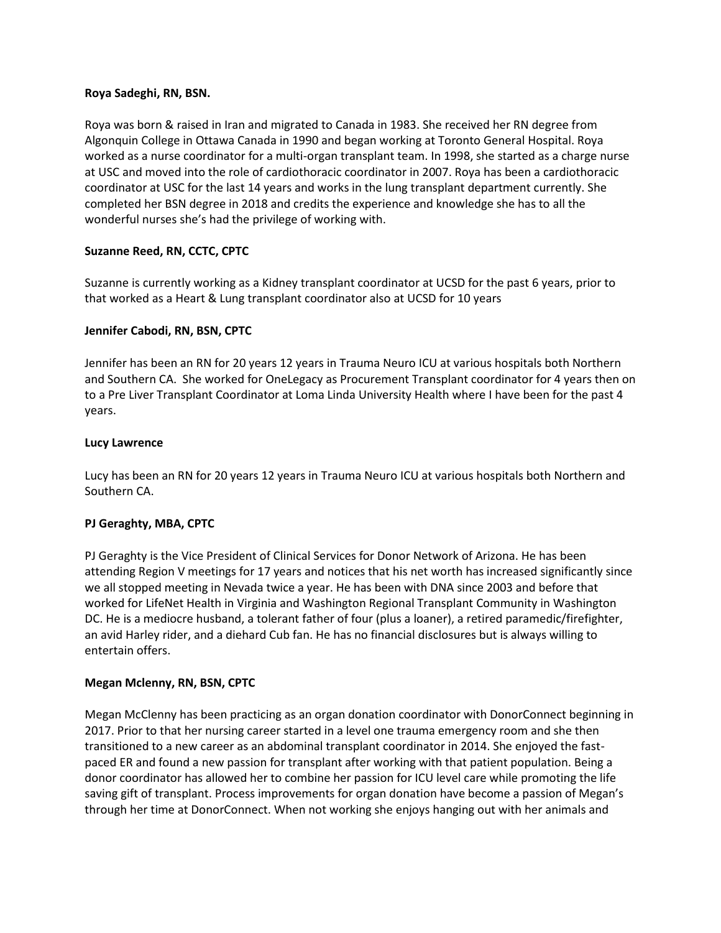## **Roya Sadeghi, RN, BSN.**

Roya was born & raised in Iran and migrated to Canada in 1983. She received her RN degree from Algonquin College in Ottawa Canada in 1990 and began working at Toronto General Hospital. Roya worked as a nurse coordinator for a multi-organ transplant team. In 1998, she started as a charge nurse at USC and moved into the role of cardiothoracic coordinator in 2007. Roya has been a cardiothoracic coordinator at USC for the last 14 years and works in the lung transplant department currently. She completed her BSN degree in 2018 and credits the experience and knowledge she has to all the wonderful nurses she's had the privilege of working with.

# **Suzanne Reed, RN, CCTC, CPTC**

Suzanne is currently working as a Kidney transplant coordinator at UCSD for the past 6 years, prior to that worked as a Heart & Lung transplant coordinator also at UCSD for 10 years

## **Jennifer Cabodi, RN, BSN, CPTC**

Jennifer has been an RN for 20 years 12 years in Trauma Neuro ICU at various hospitals both Northern and Southern CA. She worked for OneLegacy as Procurement Transplant coordinator for 4 years then on to a Pre Liver Transplant Coordinator at Loma Linda University Health where I have been for the past 4 years.

## **Lucy Lawrence**

Lucy has been an RN for 20 years 12 years in Trauma Neuro ICU at various hospitals both Northern and Southern CA.

# **PJ Geraghty, MBA, CPTC**

PJ Geraghty is the Vice President of Clinical Services for Donor Network of Arizona. He has been attending Region V meetings for 17 years and notices that his net worth has increased significantly since we all stopped meeting in Nevada twice a year. He has been with DNA since 2003 and before that worked for LifeNet Health in Virginia and Washington Regional Transplant Community in Washington DC. He is a mediocre husband, a tolerant father of four (plus a loaner), a retired paramedic/firefighter, an avid Harley rider, and a diehard Cub fan. He has no financial disclosures but is always willing to entertain offers.

#### **Megan Mclenny, RN, BSN, CPTC**

Megan McClenny has been practicing as an organ donation coordinator with DonorConnect beginning in 2017. Prior to that her nursing career started in a level one trauma emergency room and she then transitioned to a new career as an abdominal transplant coordinator in 2014. She enjoyed the fastpaced ER and found a new passion for transplant after working with that patient population. Being a donor coordinator has allowed her to combine her passion for ICU level care while promoting the life saving gift of transplant. Process improvements for organ donation have become a passion of Megan's through her time at DonorConnect. When not working she enjoys hanging out with her animals and